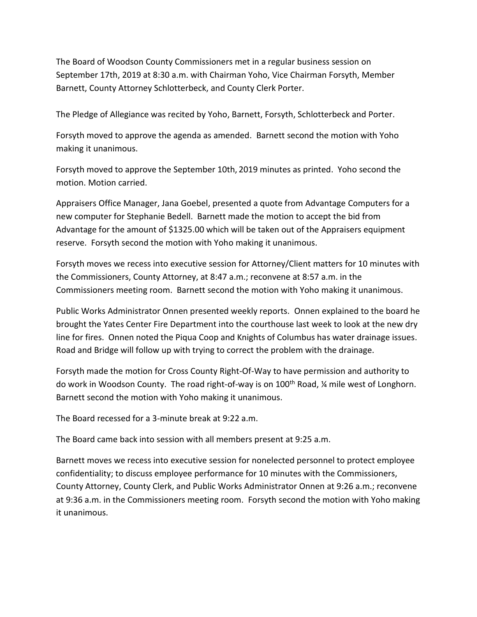The Board of Woodson County Commissioners met in a regular business session on September 17th, 2019 at 8:30 a.m. with Chairman Yoho, Vice Chairman Forsyth, Member Barnett, County Attorney Schlotterbeck, and County Clerk Porter.

The Pledge of Allegiance was recited by Yoho, Barnett, Forsyth, Schlotterbeck and Porter.

Forsyth moved to approve the agenda as amended. Barnett second the motion with Yoho making it unanimous.

Forsyth moved to approve the September 10th, 2019 minutes as printed. Yoho second the motion. Motion carried.

Appraisers Office Manager, Jana Goebel, presented a quote from Advantage Computers for a new computer for Stephanie Bedell. Barnett made the motion to accept the bid from Advantage for the amount of \$1325.00 which will be taken out of the Appraisers equipment reserve. Forsyth second the motion with Yoho making it unanimous.

Forsyth moves we recess into executive session for Attorney/Client matters for 10 minutes with the Commissioners, County Attorney, at 8:47 a.m.; reconvene at 8:57 a.m. in the Commissioners meeting room. Barnett second the motion with Yoho making it unanimous.

Public Works Administrator Onnen presented weekly reports. Onnen explained to the board he brought the Yates Center Fire Department into the courthouse last week to look at the new dry line for fires. Onnen noted the Piqua Coop and Knights of Columbus has water drainage issues. Road and Bridge will follow up with trying to correct the problem with the drainage.

Forsyth made the motion for Cross County Right-Of-Way to have permission and authority to do work in Woodson County. The road right-of-way is on 100<sup>th</sup> Road, 1/4 mile west of Longhorn. Barnett second the motion with Yoho making it unanimous.

The Board recessed for a 3-minute break at 9:22 a.m.

The Board came back into session with all members present at 9:25 a.m.

Barnett moves we recess into executive session for nonelected personnel to protect employee confidentiality; to discuss employee performance for 10 minutes with the Commissioners, County Attorney, County Clerk, and Public Works Administrator Onnen at 9:26 a.m.; reconvene at 9:36 a.m. in the Commissioners meeting room. Forsyth second the motion with Yoho making it unanimous.